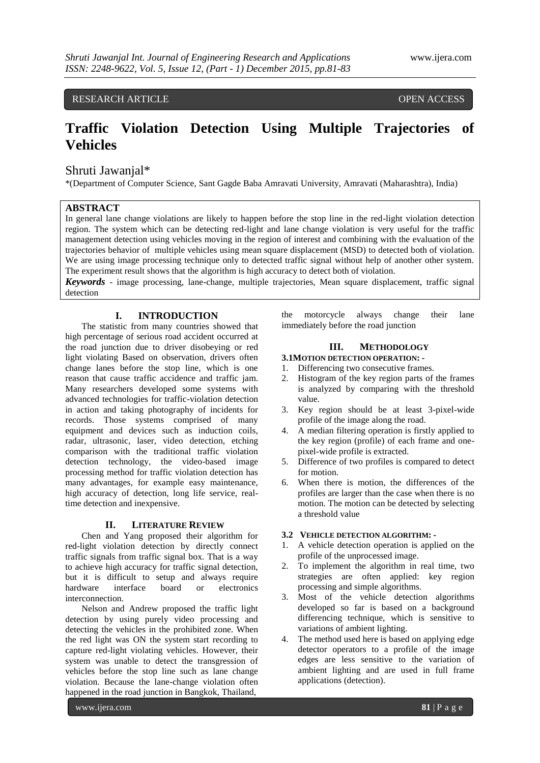## RESEARCH ARTICLE **CONSERVERS** OPEN ACCESS

# **Traffic Violation Detection Using Multiple Trajectories of Vehicles**

## Shruti Jawanjal\*

\*(Department of Computer Science, Sant Gagde Baba Amravati University, Amravati (Maharashtra), India)

### **ABSTRACT**

In general lane change violations are likely to happen before the stop line in the red-light violation detection region. The system which can be detecting red-light and lane change violation is very useful for the traffic management detection using vehicles moving in the region of interest and combining with the evaluation of the trajectories behavior of multiple vehicles using mean square displacement (MSD) to detected both of violation. We are using image processing technique only to detected traffic signal without help of another other system. The experiment result shows that the algorithm is high accuracy to detect both of violation.

*Keywords* - image processing, lane-change, multiple trajectories, Mean square displacement, traffic signal detection

## **I. INTRODUCTION**

The statistic from many countries showed that high percentage of serious road accident occurred at the road junction due to driver disobeying or red light violating Based on observation, drivers often change lanes before the stop line, which is one reason that cause traffic accidence and traffic jam. Many researchers developed some systems with advanced technologies for traffic-violation detection in action and taking photography of incidents for records. Those systems comprised of many equipment and devices such as induction coils, radar, ultrasonic, laser, video detection, etching comparison with the traditional traffic violation detection technology, the video-based image processing method for traffic violation detection has many advantages, for example easy maintenance, high accuracy of detection, long life service, realtime detection and inexpensive.

#### **II. LITERATURE REVIEW**

Chen and Yang proposed their algorithm for red-light violation detection by directly connect traffic signals from traffic signal box. That is a way to achieve high accuracy for traffic signal detection, but it is difficult to setup and always require hardware interface board or electronics interconnection.

Nelson and Andrew proposed the traffic light detection by using purely video processing and detecting the vehicles in the prohibited zone. When the red light was ON the system start recording to capture red-light violating vehicles. However, their system was unable to detect the transgression of vehicles before the stop line such as lane change violation. Because the lane-change violation often happened in the road junction in Bangkok, Thailand,

the motorcycle always change their lane immediately before the road junction

#### **III. METHODOLOGY**

#### **3.1MOTION DETECTION OPERATION: -**

- 1. Differencing two consecutive frames.
- 2. Histogram of the key region parts of the frames is analyzed by comparing with the threshold value.
- 3. Key region should be at least 3-pixel-wide profile of the image along the road.
- 4. A median filtering operation is firstly applied to the key region (profile) of each frame and onepixel-wide profile is extracted.
- 5. Difference of two profiles is compared to detect for motion.
- 6. When there is motion, the differences of the profiles are larger than the case when there is no motion. The motion can be detected by selecting a threshold value

#### **3.2 VEHICLE DETECTION ALGORITHM: -**

- 1. A vehicle detection operation is applied on the profile of the unprocessed image.
- 2. To implement the algorithm in real time, two strategies are often applied: key region processing and simple algorithms.
- 3. Most of the vehicle detection algorithms developed so far is based on a background differencing technique, which is sensitive to variations of ambient lighting.
- 4. The method used here is based on applying edge detector operators to a profile of the image edges are less sensitive to the variation of ambient lighting and are used in full frame applications (detection).

www.ijera.com **81** | P a g e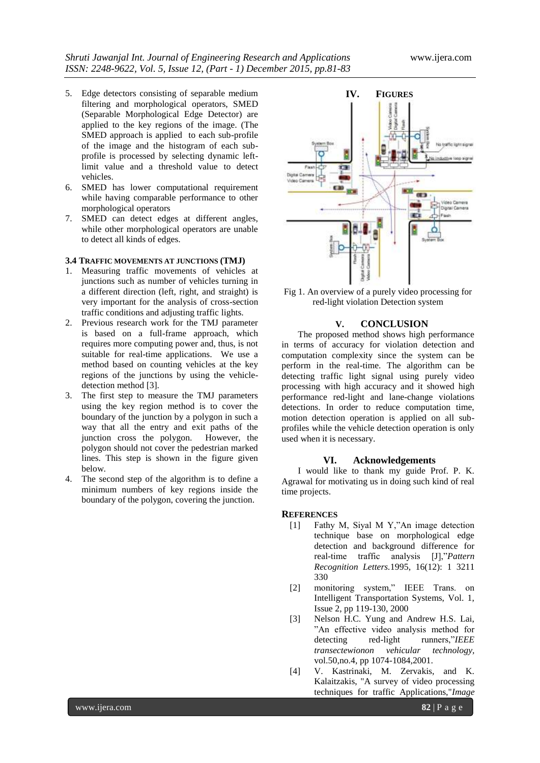- 5. Edge detectors consisting of separable medium filtering and morphological operators, SMED (Separable Morphological Edge Detector) are applied to the key regions of the image. (The SMED approach is applied to each sub-profile of the image and the histogram of each subprofile is processed by selecting dynamic leftlimit value and a threshold value to detect vehicles.
- 6. SMED has lower computational requirement while having comparable performance to other morphological operators
- 7. SMED can detect edges at different angles, while other morphological operators are unable to detect all kinds of edges.

#### **3.4 TRAFFIC MOVEMENTS AT JUNCTIONS (TMJ)**

- 1. Measuring traffic movements of vehicles at junctions such as number of vehicles turning in a different direction (left, right, and straight) is very important for the analysis of cross-section traffic conditions and adjusting traffic lights.
- 2. Previous research work for the TMJ parameter is based on a full-frame approach, which requires more computing power and, thus, is not suitable for real-time applications. We use a method based on counting vehicles at the key regions of the junctions by using the vehicledetection method [3].
- 3. The first step to measure the TMJ parameters using the key region method is to cover the boundary of the junction by a polygon in such a way that all the entry and exit paths of the junction cross the polygon. However, the polygon should not cover the pedestrian marked lines. This step is shown in the figure given below.
- 4. The second step of the algorithm is to define a minimum numbers of key regions inside the boundary of the polygon, covering the junction.



Fig 1. An overview of a purely video processing for red-light violation Detection system

#### **V. CONCLUSION**

The proposed method shows high performance in terms of accuracy for violation detection and computation complexity since the system can be perform in the real-time. The algorithm can be detecting traffic light signal using purely video processing with high accuracy and it showed high performance red-light and lane-change violations detections. In order to reduce computation time, motion detection operation is applied on all subprofiles while the vehicle detection operation is only used when it is necessary.

#### **VI. Acknowledgements**

I would like to thank my guide Prof. P. K. Agrawal for motivating us in doing such kind of real time projects.

#### **REFERENCES**

- [1] Fathy M, Siyal M Y,"An image detection technique base on morphological edge detection and background difference for real-time traffic analysis [J],"*Pattern Recognition Letters.*1995, 16(12): 1 3211 330
- [2] monitoring system," IEEE Trans. on Intelligent Transportation Systems, Vol. 1, Issue 2, pp 119-130, 2000
- [3] Nelson H.C. Yung and Andrew H.S. Lai, "An effective video analysis method for detecting red-light runners,"*IEEE transectewionon vehicular technology,*  vol.50,no.4, pp 1074-1084,2001.
- [4] V. Kastrinaki, M. Zervakis, and K. Kalaitzakis, "A survey of video processing techniques for traffic Applications,"*Image*